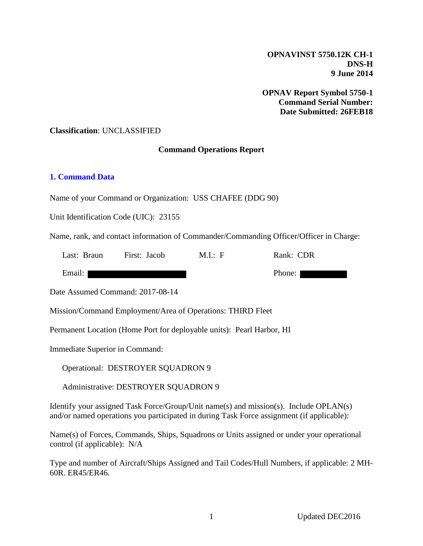**OPNAVINST 5750.12K CH-1 DNS-H 9 June 2014**

**OPNAV Report Symbol 5750-1 Command Serial Number: Date Submitted: 26FEB18**

### **Classification**: UNCLASSIFIED

# **Command Operations Report**

# **1. Command Data**

Name of your Command or Organization: USS CHAFEE (DDG 90)

Unit Identification Code (UIC): 23155

Name, rank, and contact information of Commander/Commanding Officer/Officer in Charge:

| Last: Braun | First: Jacob | M.I.: F | Rank: CDR |
|-------------|--------------|---------|-----------|
| Email:      |              |         | Phone:    |

Date Assumed Command: 2017-08-14

Mission/Command Employment/Area of Operations: THIRD Fleet

Permanent Location (Home Port for deployable units): Pearl Harbor, HI

Immediate Superior in Command:

Operational: DESTROYER SQUADRON 9

Administrative: DESTROYER SQUADRON 9

Identify your assigned Task Force/Group/Unit name(s) and mission(s). Include OPLAN(s) and/or named operations you participated in during Task Force assignment (if applicable):

Name(s) of Forces, Commands, Ships, Squadrons or Units assigned or under your operational control (if applicable): N/A

Type and number of Aircraft/Ships Assigned and Tail Codes/Hull Numbers, if applicable: 2 MH-60R. ER45/ER46.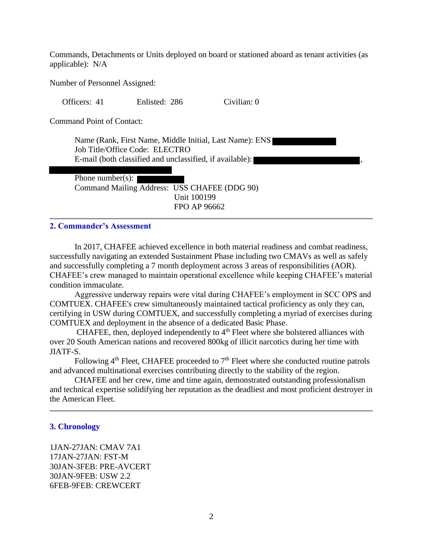Commands, Detachments or Units deployed on board or stationed aboard as tenant activities (as applicable): N/A

Number of Personnel Assigned:

Officers: 41 Enlisted: 286 Civilian: 0

Command Point of Contact:

Name (Rank, First Name, Middle Initial, Last Name): ENS Job Title/Office Code: ELECTRO E-mail (both classified and unclassified, if available):

Phone number(s): Command Mailing Address: USS CHAFEE (DDG 90) Unit 100199 FPO AP 96662

#### **2. Commander's Assessment**

In 2017, CHAFEE achieved excellence in both material readiness and combat readiness, successfully navigating an extended Sustainment Phase including two CMAVs as well as safely and successfully completing a 7 month deployment across 3 areas of responsibilities (AOR). CHAFEE's crew managed to maintain operational excellence while keeping CHAFEE's material condition immaculate.

Aggressive underway repairs were vital during CHAFEE's employment in SCC OPS and COMTUEX. CHAFEE's crew simultaneously maintained tactical proficiency as only they can, certifying in USW during COMTUEX, and successfully completing a myriad of exercises during COMTUEX and deployment in the absence of a dedicated Basic Phase.

CHAFEE, then, deployed independently to  $4<sup>th</sup>$  Fleet where she bolstered alliances with over 20 South American nations and recovered 800kg of illicit narcotics during her time with JIATF-S.

Following  $4<sup>th</sup>$  Fleet, CHAFEE proceeded to  $7<sup>th</sup>$  Fleet where she conducted routine patrols and advanced multinational exercises contributing directly to the stability of the region.

CHAFEE and her crew, time and time again, demonstrated outstanding professionalism and technical expertise solidifying her reputation as the deadliest and most proficient destroyer in the American Fleet.

### **3. Chronology**

1JAN-27JAN: CMAV 7A1 17JAN-27JAN: FST-M 30JAN-3FEB: PRE-AVCERT 30JAN-9FEB: USW 2.2 6FEB-9FEB: CREWCERT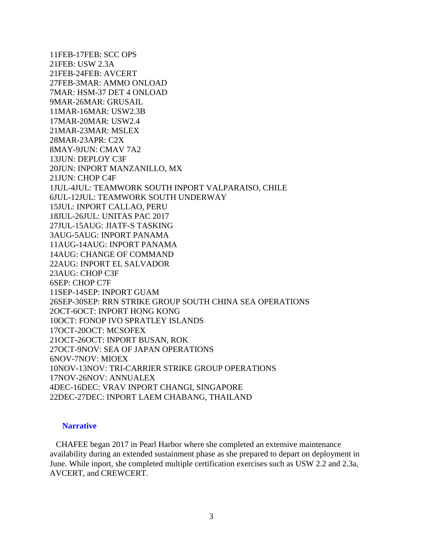11FEB-17FEB: SCC OPS 21FEB: USW 2.3A 21FEB-24FEB: AVCERT 27FEB-3MAR: AMMO ONLOAD 7MAR: HSM-37 DET 4 ONLOAD 9MAR-26MAR: GRUSAIL 11MAR-16MAR: USW2.3B 17MAR-20MAR: USW2.4 21MAR-23MAR: MSLEX 28MAR-23APR: C2X 8MAY-9JUN: CMAV 7A2 13JUN: DEPLOY C3F 20JUN: INPORT MANZANILLO, MX 21JUN: CHOP C4F 1JUL-4JUL: TEAMWORK SOUTH INPORT VALPARAISO, CHILE 6JUL-12JUL: TEAMWORK SOUTH UNDERWAY 15JUL: INPORT CALLAO, PERU 18JUL-26JUL: UNITAS PAC 2017 27JUL-15AUG: JIATF-S TASKING 3AUG-5AUG: INPORT PANAMA 11AUG-14AUG: INPORT PANAMA 14AUG: CHANGE OF COMMAND 22AUG: INPORT EL SALVADOR 23AUG: CHOP C3F 6SEP: CHOP C7F 11SEP-14SEP: INPORT GUAM 26SEP-30SEP: RRN STRIKE GROUP SOUTH CHINA SEA OPERATIONS 2OCT-6OCT: INPORT HONG KONG 10OCT: FONOP IVO SPRATLEY ISLANDS 17OCT-20OCT: MCSOFEX 21OCT-26OCT: INPORT BUSAN, ROK 27OCT-9NOV: SEA OF JAPAN OPERATIONS 6NOV-7NOV: MIOEX 10NOV-13NOV: TRI-CARRIER STRIKE GROUP OPERATIONS 17NOV-26NOV: ANNUALEX 4DEC-16DEC: VRAV INPORT CHANGI, SINGAPORE 22DEC-27DEC: INPORT LAEM CHABANG, THAILAND

## **Narrative**

CHAFEE began 2017 in Pearl Harbor where she completed an extensive maintenance availability during an extended sustainment phase as she prepared to depart on deployment in June. While inport, she completed multiple certification exercises such as USW 2.2 and 2.3a, AVCERT, and CREWCERT.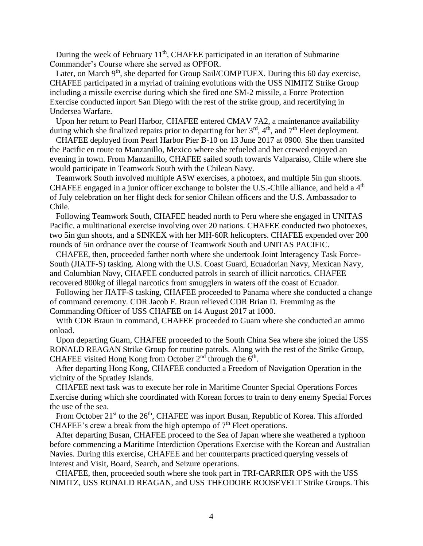During the week of February 11<sup>th</sup>, CHAFEE participated in an iteration of Submarine Commander's Course where she served as OPFOR.

Later, on March  $9<sup>th</sup>$ , she departed for Group Sail/COMPTUEX. During this 60 day exercise, CHAFEE participated in a myriad of training evolutions with the USS NIMITZ Strike Group including a missile exercise during which she fired one SM-2 missile, a Force Protection Exercise conducted inport San Diego with the rest of the strike group, and recertifying in Undersea Warfare.

Upon her return to Pearl Harbor, CHAFEE entered CMAV 7A2, a maintenance availability during which she finalized repairs prior to departing for her  $3<sup>rd</sup>$ ,  $4<sup>th</sup>$ , and  $7<sup>th</sup>$  Fleet deployment.

CHAFEE deployed from Pearl Harbor Pier B-10 on 13 June 2017 at 0900. She then transited the Pacific en route to Manzanillo, Mexico where she refueled and her crewed enjoyed an evening in town. From Manzanillo, CHAFEE sailed south towards Valparaiso, Chile where she would participate in Teamwork South with the Chilean Navy.

Teamwork South involved multiple ASW exercises, a photoex, and multiple 5in gun shoots. CHAFEE engaged in a junior officer exchange to bolster the U.S.-Chile alliance, and held a  $4<sup>th</sup>$ of July celebration on her flight deck for senior Chilean officers and the U.S. Ambassador to Chile.

Following Teamwork South, CHAFEE headed north to Peru where she engaged in UNITAS Pacific, a multinational exercise involving over 20 nations. CHAFEE conducted two photoexes, two 5in gun shoots, and a SINKEX with her MH-60R helicopters. CHAFEE expended over 200 rounds of 5in ordnance over the course of Teamwork South and UNITAS PACIFIC.

CHAFEE, then, proceeded farther north where she undertook Joint Interagency Task Force-South (JIATF-S) tasking. Along with the U.S. Coast Guard, Ecuadorian Navy, Mexican Navy, and Columbian Navy, CHAFEE conducted patrols in search of illicit narcotics. CHAFEE recovered 800kg of illegal narcotics from smugglers in waters off the coast of Ecuador.

Following her JIATF-S tasking, CHAFEE proceeded to Panama where she conducted a change of command ceremony. CDR Jacob F. Braun relieved CDR Brian D. Fremming as the Commanding Officer of USS CHAFEE on 14 August 2017 at 1000.

With CDR Braun in command, CHAFEE proceeded to Guam where she conducted an ammo onload.

Upon departing Guam, CHAFEE proceeded to the South China Sea where she joined the USS RONALD REAGAN Strike Group for routine patrols. Along with the rest of the Strike Group, CHAFEE visited Hong Kong from October  $2<sup>nd</sup>$  through the  $6<sup>th</sup>$ .

After departing Hong Kong, CHAFEE conducted a Freedom of Navigation Operation in the vicinity of the Spratley Islands.

CHAFEE next task was to execute her role in Maritime Counter Special Operations Forces Exercise during which she coordinated with Korean forces to train to deny enemy Special Forces the use of the sea.

From October 21<sup>st</sup> to the 26<sup>th</sup>, CHAFEE was inport Busan, Republic of Korea. This afforded CHAFEE's crew a break from the high optempo of  $7<sup>th</sup>$  Fleet operations.

After departing Busan, CHAFEE proceed to the Sea of Japan where she weathered a typhoon before commencing a Maritime Interdiction Operations Exercise with the Korean and Australian Navies. During this exercise, CHAFEE and her counterparts practiced querying vessels of interest and Visit, Board, Search, and Seizure operations.

CHAFEE, then, proceeded south where she took part in TRI-CARRIER OPS with the USS NIMITZ, USS RONALD REAGAN, and USS THEODORE ROOSEVELT Strike Groups. This